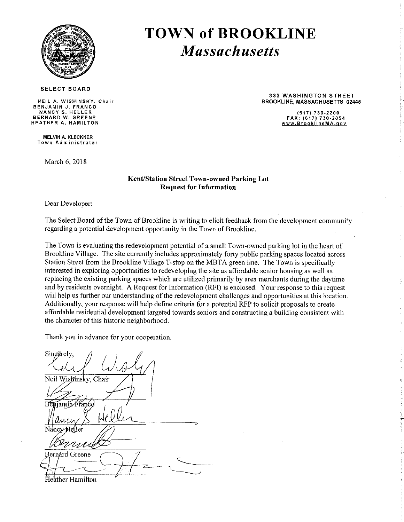

# **TOWN of BROOKLINE Massachusetts**

**SELECT BOARD** 

NEIL A. WISHINSKY, Chair BENJAMIN J. FRANCO NANCY S. HELLER<br>BERNARD W. GREENE HEATHER A. HAMILTON

**MELVIN A. KLECKNER** Town Administrator

March 6, 2018

**333 WASHINGTON STREET BROOKLINE, MASSACHUSETTS 02445** 

> $(617)$  730-2200 FAX: (617) 730-2054 www.BrooklineMA.gov

#### **Kent/Station Street Town-owned Parking Lot Request for Information**

Dear Developer:

The Select Board of the Town of Brookline is writing to elicit feedback from the development community regarding a potential development opportunity in the Town of Brookline.

The Town is evaluating the redevelopment potential of a small Town-owned parking lot in the heart of Brookline Village. The site currently includes approximately forty public parking spaces located across Station Street from the Brookline Village T-stop on the MBTA green line. The Town is specifically interested in exploring opportunities to redeveloping the site as affordable senior housing as well as replacing the existing parking spaces which are utilized primarily by area merchants during the daytime and by residents overnight. A Request for Information (RFI) is enclosed. Your response to this request will help us further our understanding of the redevelopment challenges and opportunities at this location. Additionally, your response will help define criteria for a potential RFP to solicit proposals to create affordable residential development targeted towards seniors and constructing a building consistent with the character of this historic neighborhood.

Thank you in advance for your cooperation.

Singerely. Neil Wishinsky, Chair iamin $\bar{A}$ Bernard Greene leather Hamilton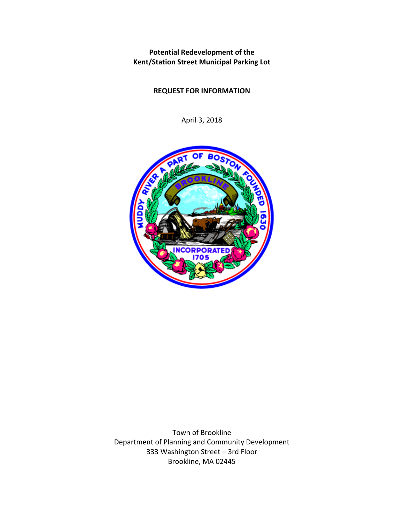**Potential Redevelopment of the Kent/Station Street Municipal Parking Lot** 

## **REQUEST FOR INFORMATION**

April 3, 2018



Town of Brookline Department of Planning and Community Development 333 Washington Street – 3rd Floor Brookline, MA 02445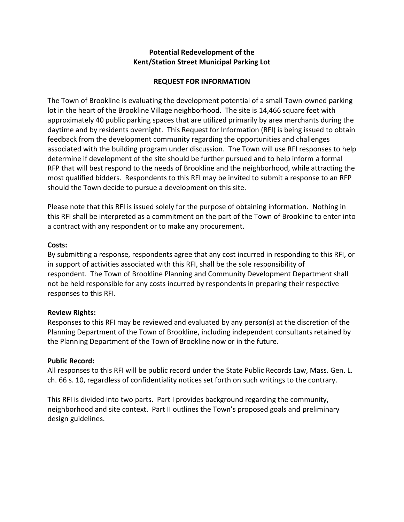## **Potential Redevelopment of the Kent/Station Street Municipal Parking Lot**

### **REQUEST FOR INFORMATION**

The Town of Brookline is evaluating the development potential of a small Town-owned parking lot in the heart of the Brookline Village neighborhood. The site is 14,466 square feet with approximately 40 public parking spaces that are utilized primarily by area merchants during the daytime and by residents overnight. This Request for Information (RFI) is being issued to obtain feedback from the development community regarding the opportunities and challenges associated with the building program under discussion. The Town will use RFI responses to help determine if development of the site should be further pursued and to help inform a formal RFP that will best respond to the needs of Brookline and the neighborhood, while attracting the most qualified bidders. Respondents to this RFI may be invited to submit a response to an RFP should the Town decide to pursue a development on this site.

Please note that this RFI is issued solely for the purpose of obtaining information. Nothing in this RFI shall be interpreted as a commitment on the part of the Town of Brookline to enter into a contract with any respondent or to make any procurement.

#### **Costs:**

By submitting a response, respondents agree that any cost incurred in responding to this RFI, or in support of activities associated with this RFI, shall be the sole responsibility of respondent. The Town of Brookline Planning and Community Development Department shall not be held responsible for any costs incurred by respondents in preparing their respective responses to this RFI.

#### **Review Rights:**

Responses to this RFI may be reviewed and evaluated by any person(s) at the discretion of the Planning Department of the Town of Brookline, including independent consultants retained by the Planning Department of the Town of Brookline now or in the future.

#### **Public Record:**

All responses to this RFI will be public record under the State Public Records Law, Mass. Gen. L. ch. 66 s. 10, regardless of confidentiality notices set forth on such writings to the contrary.

This RFI is divided into two parts. Part I provides background regarding the community, neighborhood and site context. Part II outlines the Town's proposed goals and preliminary design guidelines.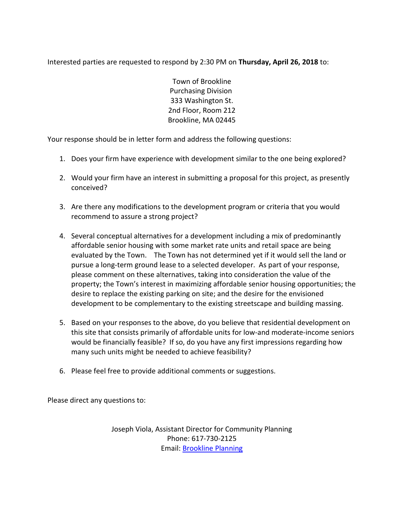Interested parties are requested to respond by 2:30 PM on **Thursday, April 26, 2018** to:

Town of Brookline Purchasing Division 333 Washington St. 2nd Floor, Room 212 Brookline, MA 02445

Your response should be in letter form and address the following questions:

- 1. Does your firm have experience with development similar to the one being explored?
- 2. Would your firm have an interest in submitting a proposal for this project, as presently conceived?
- 3. Are there any modifications to the development program or criteria that you would recommend to assure a strong project?
- 4. Several conceptual alternatives for a development including a mix of predominantly affordable senior housing with some market rate units and retail space are being evaluated by the Town. The Town has not determined yet if it would sell the land or pursue a long-term ground lease to a selected developer. As part of your response, please comment on these alternatives, taking into consideration the value of the property; the Town's interest in maximizing affordable senior housing opportunities; the desire to replace the existing parking on site; and the desire for the envisioned development to be complementary to the existing streetscape and building massing.
- 5. Based on your responses to the above, do you believe that residential development on this site that consists primarily of affordable units for low-and moderate-income seniors would be financially feasible? If so, do you have any first impressions regarding how many such units might be needed to achieve feasibility?
- 6. Please feel free to provide additional comments or suggestions.

Please direct any questions to:

Joseph Viola, Assistant Director for Community Planning Phone: 617-730-2125 Email: [Brookline Planning](mailto:jviola@brooklinema.gov)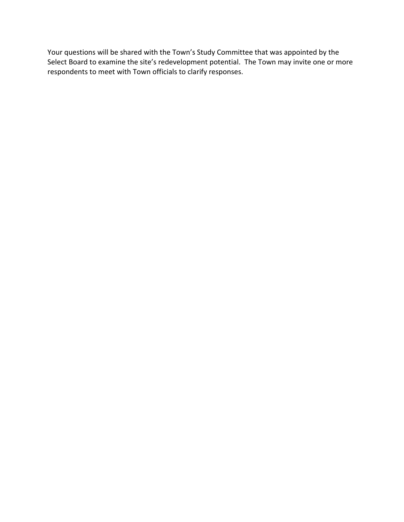Your questions will be shared with the Town's Study Committee that was appointed by the Select Board to examine the site's redevelopment potential. The Town may invite one or more respondents to meet with Town officials to clarify responses.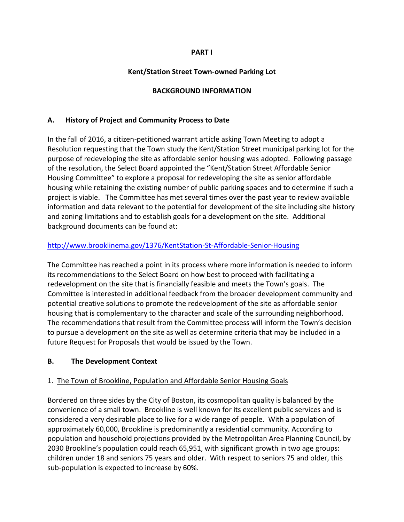### **PART I**

## **Kent/Station Street Town-owned Parking Lot**

## **BACKGROUND INFORMATION**

## **A. History of Project and Community Process to Date**

In the fall of 2016, a citizen-petitioned warrant article asking Town Meeting to adopt a Resolution requesting that the Town study the Kent/Station Street municipal parking lot for the purpose of redeveloping the site as affordable senior housing was adopted. Following passage of the resolution, the Select Board appointed the "Kent/Station Street Affordable Senior Housing Committee" to explore a proposal for redeveloping the site as senior affordable housing while retaining the existing number of public parking spaces and to determine if such a project is viable. The Committee has met several times over the past year to review available information and data relevant to the potential for development of the site including site history and zoning limitations and to establish goals for a development on the site. Additional background documents can be found at:

## <http://www.brooklinema.gov/1376/KentStation-St-Affordable-Senior-Housing>

The Committee has reached a point in its process where more information is needed to inform its recommendations to the Select Board on how best to proceed with facilitating a redevelopment on the site that is financially feasible and meets the Town's goals. The Committee is interested in additional feedback from the broader development community and potential creative solutions to promote the redevelopment of the site as affordable senior housing that is complementary to the character and scale of the surrounding neighborhood. The recommendations that result from the Committee process will inform the Town's decision to pursue a development on the site as well as determine criteria that may be included in a future Request for Proposals that would be issued by the Town.

#### **B. The Development Context**

## 1. The Town of Brookline, Population and Affordable Senior Housing Goals

Bordered on three sides by the City of Boston, its cosmopolitan quality is balanced by the convenience of a small town. Brookline is well known for its excellent public services and is considered a very desirable place to live for a wide range of people. With a population of approximately 60,000, Brookline is predominantly a residential community. According to population and household projections provided by the Metropolitan Area Planning Council, by 2030 Brookline's population could reach 65,951, with significant growth in two age groups: children under 18 and seniors 75 years and older. With respect to seniors 75 and older, this sub-population is expected to increase by 60%.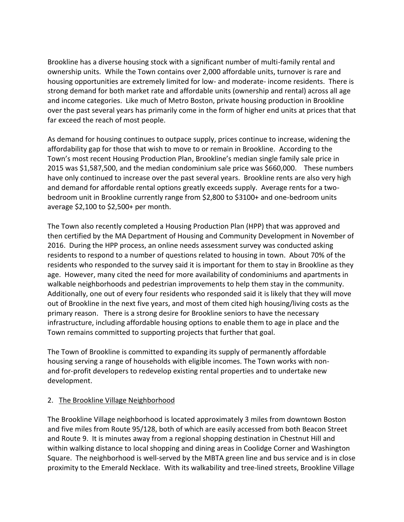Brookline has a diverse housing stock with a significant number of multi-family rental and ownership units. While the Town contains over 2,000 affordable units, turnover is rare and housing opportunities are extremely limited for low- and moderate- income residents. There is strong demand for both market rate and affordable units (ownership and rental) across all age and income categories. Like much of Metro Boston, private housing production in Brookline over the past several years has primarily come in the form of higher end units at prices that that far exceed the reach of most people.

As demand for housing continues to outpace supply, prices continue to increase, widening the affordability gap for those that wish to move to or remain in Brookline. According to the Town's most recent Housing Production Plan, Brookline's median single family sale price in 2015 was \$1,587,500, and the median condominium sale price was \$660,000. These numbers have only continued to increase over the past several years. Brookline rents are also very high and demand for affordable rental options greatly exceeds supply. Average rents for a twobedroom unit in Brookline currently range from \$2,800 to \$3100+ and one-bedroom units average \$2,100 to \$2,500+ per month.

The Town also recently completed a Housing Production Plan (HPP) that was approved and then certified by the MA Department of Housing and Community Development in November of 2016. During the HPP process, an online needs assessment survey was conducted asking residents to respond to a number of questions related to housing in town. About 70% of the residents who responded to the survey said it is important for them to stay in Brookline as they age. However, many cited the need for more availability of condominiums and apartments in walkable neighborhoods and pedestrian improvements to help them stay in the community. Additionally, one out of every four residents who responded said it is likely that they will move out of Brookline in the next five years, and most of them cited high housing/living costs as the primary reason. There is a strong desire for Brookline seniors to have the necessary infrastructure, including affordable housing options to enable them to age in place and the Town remains committed to supporting projects that further that goal.

The Town of Brookline is committed to expanding its supply of permanently affordable housing serving a range of households with eligible incomes. The Town works with nonand for-profit developers to redevelop existing rental properties and to undertake new development.

## 2. The Brookline Village Neighborhood

The Brookline Village neighborhood is located approximately 3 miles from downtown Boston and five miles from Route 95/128, both of which are easily accessed from both Beacon Street and Route 9. It is minutes away from a regional shopping destination in Chestnut Hill and within walking distance to local shopping and dining areas in Coolidge Corner and Washington Square. The neighborhood is well-served by the MBTA green line and bus service and is in close proximity to the Emerald Necklace. With its walkability and tree-lined streets, Brookline Village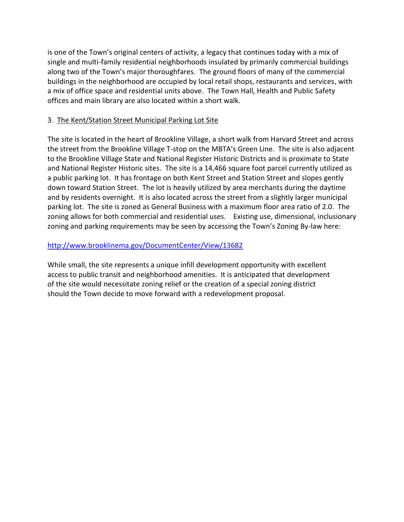is one of the Town's original centers of activity, a legacy that continues today with a mix of single and multi-family residential neighborhoods insulated by primarily commercial buildings along two of the Town's major thoroughfares. The ground floors of many of the commercial buildings in the neighborhood are occupied by local retail shops, restaurants and services, with a mix of office space and residential units above. The Town Hall, Health and Public Safety offices and main library are also located within a short walk.

## 3. The Kent/Station Street Municipal Parking Lot Site

The site is located in the heart of Brookline Village, a short walk from Harvard Street and across the street from the Brookline Village T-stop on the MBTA's Green Line. The site is also adjacent to the Brookline Village State and National Register Historic Districts and is proximate to State and National Register Historic sites. The site is a 14,466 square foot parcel currently utilized as a public parking lot. It has frontage on both Kent Street and Station Street and slopes gently down toward Station Street. The lot is heavily utilized by area merchants during the daytime and by residents overnight. It is also located across the street from a slightly larger municipal parking lot. The site is zoned as General Business with a maximum floor area ratio of 2.0. The zoning allows for both commercial and residential uses. Existing use, dimensional, inclusionary zoning and parking requirements may be seen by accessing the Town's Zoning By-law here:

## <http://www.brooklinema.gov/DocumentCenter/View/13682>

While small, the site represents a unique infill development opportunity with excellent access to public transit and neighborhood amenities. It is anticipated that development of the site would necessitate zoning relief or the creation of a special zoning district should the Town decide to move forward with a redevelopment proposal.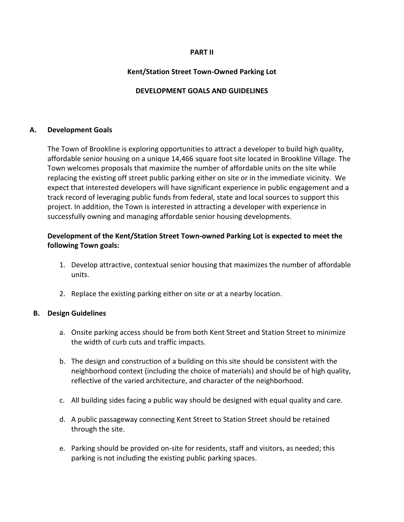#### **PART II**

#### **Kent/Station Street Town-Owned Parking Lot**

### **DEVELOPMENT GOALS AND GUIDELINES**

#### **A. Development Goals**

The Town of Brookline is exploring opportunities to attract a developer to build high quality, affordable senior housing on a unique 14,466 square foot site located in Brookline Village. The Town welcomes proposals that maximize the number of affordable units on the site while replacing the existing off street public parking either on site or in the immediate vicinity. We expect that interested developers will have significant experience in public engagement and a track record of leveraging public funds from federal, state and local sources to support this project. In addition, the Town is interested in attracting a developer with experience in successfully owning and managing affordable senior housing developments.

## **Development of the Kent/Station Street Town-owned Parking Lot is expected to meet the following Town goals:**

- 1. Develop attractive, contextual senior housing that maximizes the number of affordable units.
- 2. Replace the existing parking either on site or at a nearby location.

#### **B. Design Guidelines**

- a. Onsite parking access should be from both Kent Street and Station Street to minimize the width of curb cuts and traffic impacts.
- b. The design and construction of a building on this site should be consistent with the neighborhood context (including the choice of materials) and should be of high quality, reflective of the varied architecture, and character of the neighborhood.
- c. All building sides facing a public way should be designed with equal quality and care.
- d. A public passageway connecting Kent Street to Station Street should be retained through the site.
- e. Parking should be provided on-site for residents, staff and visitors, as needed; this parking is not including the existing public parking spaces.